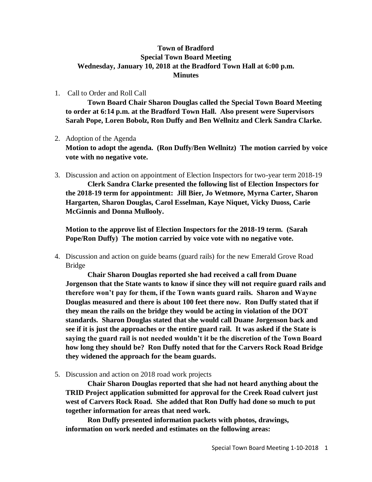## **Town of Bradford Special Town Board Meeting Wednesday, January 10, 2018 at the Bradford Town Hall at 6:00 p.m. Minutes**

1. Call to Order and Roll Call

**Town Board Chair Sharon Douglas called the Special Town Board Meeting to order at 6:14 p.m. at the Bradford Town Hall. Also present were Supervisors Sarah Pope, Loren Bobolz, Ron Duffy and Ben Wellnitz and Clerk Sandra Clarke.**

2. Adoption of the Agenda

**Motion to adopt the agenda. (Ron Duffy/Ben Wellnitz) The motion carried by voice vote with no negative vote.**

3. Discussion and action on appointment of Election Inspectors for two-year term 2018-19 **Clerk Sandra Clarke presented the following list of Election Inspectors for the 2018-19 term for appointment: Jill Bier, Jo Wetmore, Myrna Carter, Sharon Hargarten, Sharon Douglas, Carol Esselman, Kaye Niquet, Vicky Duoss, Carie McGinnis and Donna Mullooly.**

**Motion to the approve list of Election Inspectors for the 2018-19 term. (Sarah Pope/Ron Duffy) The motion carried by voice vote with no negative vote.**

4. Discussion and action on guide beams (guard rails) for the new Emerald Grove Road Bridge

**Chair Sharon Douglas reported she had received a call from Duane Jorgenson that the State wants to know if since they will not require guard rails and therefore won't pay for them, if the Town wants guard rails. Sharon and Wayne Douglas measured and there is about 100 feet there now. Ron Duffy stated that if they mean the rails on the bridge they would be acting in violation of the DOT standards. Sharon Douglas stated that she would call Duane Jorgenson back and see if it is just the approaches or the entire guard rail. It was asked if the State is saying the guard rail is not needed wouldn't it be the discretion of the Town Board how long they should be? Ron Duffy noted that for the Carvers Rock Road Bridge they widened the approach for the beam guards.**

5. Discussion and action on 2018 road work projects

**Chair Sharon Douglas reported that she had not heard anything about the TRID Project application submitted for approval for the Creek Road culvert just west of Carvers Rock Road. She added that Ron Duffy had done so much to put together information for areas that need work.**

**Ron Duffy presented information packets with photos, drawings, information on work needed and estimates on the following areas:**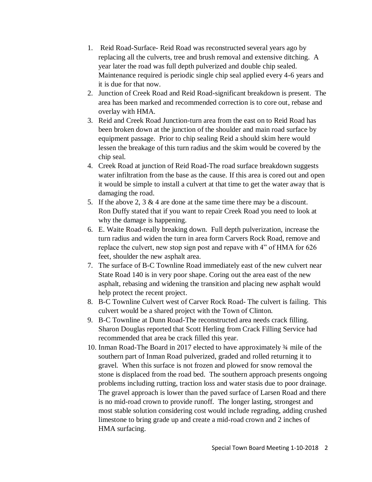- 1. Reid Road-Surface- Reid Road was reconstructed several years ago by replacing all the culverts, tree and brush removal and extensive ditching. A year later the road was full depth pulverized and double chip sealed. Maintenance required is periodic single chip seal applied every 4-6 years and it is due for that now.
- 2. Junction of Creek Road and Reid Road-significant breakdown is present. The area has been marked and recommended correction is to core out, rebase and overlay with HMA.
- 3. Reid and Creek Road Junction-turn area from the east on to Reid Road has been broken down at the junction of the shoulder and main road surface by equipment passage. Prior to chip sealing Reid a should skim here would lessen the breakage of this turn radius and the skim would be covered by the chip seal.
- 4. Creek Road at junction of Reid Road-The road surface breakdown suggests water infiltration from the base as the cause. If this area is cored out and open it would be simple to install a culvert at that time to get the water away that is damaging the road.
- 5. If the above 2,  $3 \& 4$  are done at the same time there may be a discount. Ron Duffy stated that if you want to repair Creek Road you need to look at why the damage is happening.
- 6. E. Waite Road-really breaking down. Full depth pulverization, increase the turn radius and widen the turn in area form Carvers Rock Road, remove and replace the culvert, new stop sign post and repave with 4" of HMA for 626 feet, shoulder the new asphalt area.
- 7. The surface of B-C Townline Road immediately east of the new culvert near State Road 140 is in very poor shape. Coring out the area east of the new asphalt, rebasing and widening the transition and placing new asphalt would help protect the recent project.
- 8. B-C Townline Culvert west of Carver Rock Road- The culvert is failing. This culvert would be a shared project with the Town of Clinton.
- 9. B-C Townline at Dunn Road-The reconstructed area needs crack filling. Sharon Douglas reported that Scott Herling from Crack Filling Service had recommended that area be crack filled this year.
- 10. Inman Road-The Board in 2017 elected to have approximately ¾ mile of the southern part of Inman Road pulverized, graded and rolled returning it to gravel. When this surface is not frozen and plowed for snow removal the stone is displaced from the road bed. The southern approach presents ongoing problems including rutting, traction loss and water stasis due to poor drainage. The gravel approach is lower than the paved surface of Larsen Road and there is no mid-road crown to provide runoff. The longer lasting, strongest and most stable solution considering cost would include regrading, adding crushed limestone to bring grade up and create a mid-road crown and 2 inches of HMA surfacing.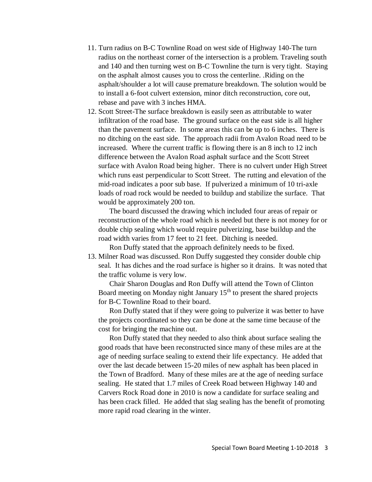- 11. Turn radius on B-C Townline Road on west side of Highway 140-The turn radius on the northeast corner of the intersection is a problem. Traveling south and 140 and then turning west on B-C Townline the turn is very tight. Staying on the asphalt almost causes you to cross the centerline. .Riding on the asphalt/shoulder a lot will cause premature breakdown. The solution would be to install a 6-foot culvert extension, minor ditch reconstruction, core out, rebase and pave with 3 inches HMA.
- 12. Scott Street-The surface breakdown is easily seen as attributable to water infiltration of the road base. The ground surface on the east side is all higher than the pavement surface. In some areas this can be up to 6 inches. There is no ditching on the east side. The approach radii from Avalon Road need to be increased. Where the current traffic is flowing there is an 8 inch to 12 inch difference between the Avalon Road asphalt surface and the Scott Street surface with Avalon Road being higher. There is no culvert under High Street which runs east perpendicular to Scott Street. The rutting and elevation of the mid-road indicates a poor sub base. If pulverized a minimum of 10 tri-axle loads of road rock would be needed to buildup and stabilize the surface. That would be approximately 200 ton.

The board discussed the drawing which included four areas of repair or reconstruction of the whole road which is needed but there is not money for or double chip sealing which would require pulverizing, base buildup and the road width varies from 17 feet to 21 feet. Ditching is needed.

Ron Duffy stated that the approach definitely needs to be fixed.

13. Milner Road was discussed. Ron Duffy suggested they consider double chip seal. It has diches and the road surface is higher so it drains. It was noted that the traffic volume is very low.

Chair Sharon Douglas and Ron Duffy will attend the Town of Clinton Board meeting on Monday night January  $15<sup>th</sup>$  to present the shared projects for B-C Townline Road to their board.

Ron Duffy stated that if they were going to pulverize it was better to have the projects coordinated so they can be done at the same time because of the cost for bringing the machine out.

Ron Duffy stated that they needed to also think about surface sealing the good roads that have been reconstructed since many of these miles are at the age of needing surface sealing to extend their life expectancy. He added that over the last decade between 15-20 miles of new asphalt has been placed in the Town of Bradford. Many of these miles are at the age of needing surface sealing. He stated that 1.7 miles of Creek Road between Highway 140 and Carvers Rock Road done in 2010 is now a candidate for surface sealing and has been crack filled. He added that slag sealing has the benefit of promoting more rapid road clearing in the winter.